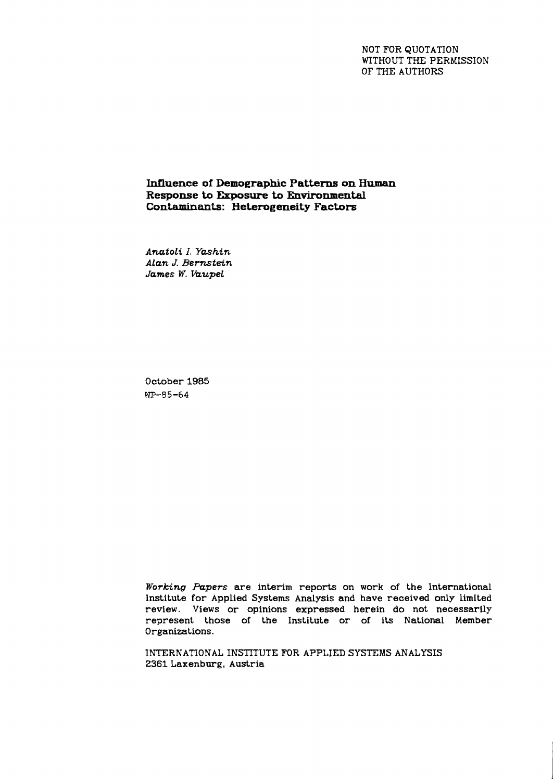NOT FOR QUOTATION WITHOUT THE PERMISSION OF THE AUTHORS

**Influence of Demographic Patterns on Human Response to Ekposure to Environmental Contaminants: Heterogeneity Factors** 

*Anatoli I. Ynshin Alan J. Bemtein James W. Vaupel* 

October 1985 WP-85-64

*Working Papers* are interim reports on work of the international Institute for Applied Systems Analysis and have received only limited review. Views or opinions expressed herein do not necessarily represent those of the Institute or of its National Member Organizations.

INTERNATIONAL INSTITUTE FOR APPLIED SYSTEMS ANALYSIS 2361 Laxenburg, Austria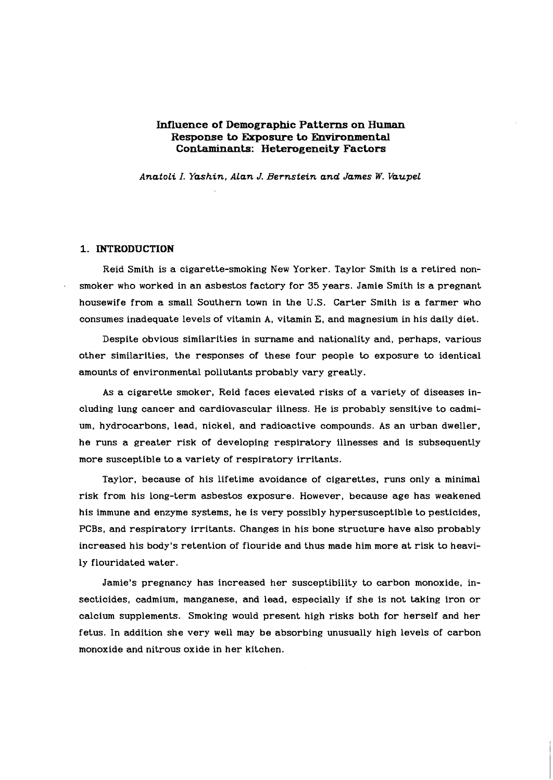## **Influence of Demographic Patterns on Human Response to Errposure to Environmental Contaminants: Heterogeneity Factors**

*Anatoli I. Yashin. Alan* **J.** *Bernstein and James W. Vaupel* 

### **1. INTRODUCTION**

Reid Smith is a cigarette-smoking New Yorker. Taylor Smith is a retired nonsmoker who worked in an asbestos factory for 35 years. Jamie Smith is a pregnant housewife from a small Southern town in the U.S. Carter Smith is a farmer who consumes inadequate levels of vitamin A, vitamin E, and magnesium in his daily diet.

Despite obvious similarities in surname and nationality and, perhaps, various other similarities, the responses of these four people to exposure to identical amounts of environmental pollutants probably vary greatly.

As a cigarette smoker, Reid faces elevated risks of a variety of diseases including lung cancer and cardiovascular illness. He is probably sensitive to cadmium, hydrocarbons, lead, nickel, and radioactive compounds. As an urban dweller, he runs a greater risk of developing respiratory illnesses and is subsequently more susceptible to a variety of respiratory irritants.

Taylor, because of his lifetime avoidance of cigarettes, runs only a minimal risk from his long-term asbestos exposure. However, because age has weakened his immune and enzyme systems, he is very possibly hypersusceptible to pesticides, PCBs, and respiratory irritants. Changes in his bone structure have also probably increased his body's retention of flouride and thus made him more at risk to heavily flouridated water.

Jamie's pregnancy has increased her susceptibility to carbon monoxide, insecticides, cadmium, manganese, and lead, especially if she is not taking iron or calcium supplements. Smoking would present high risks both for herself and her fetus. In addition she very well may be absorbing unusually high levels of carbon monoxide and nitrous oxide in her kitchen.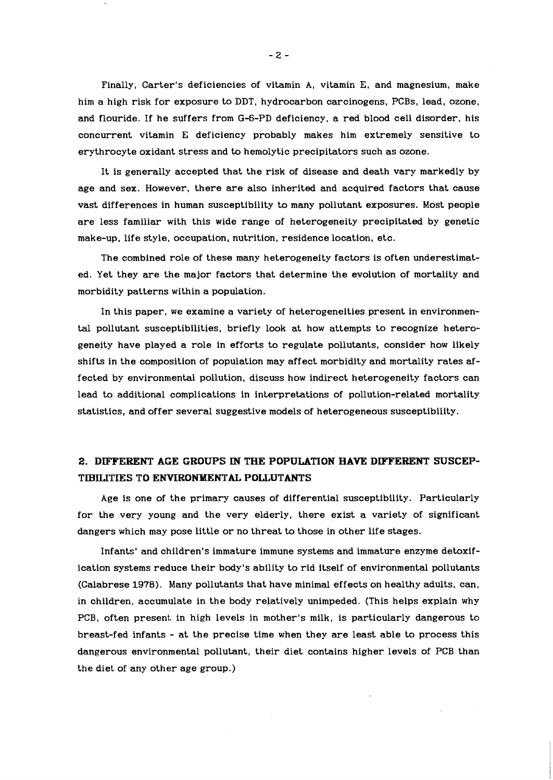Finally, Carter's deficiencies of vitamin A, vitamin E, and magnesium, make him a high risk for exposure to DDT, hydrocarbon carcinogens. PCBs, lead, ozone, and flouride. If he suffers from G-6-PD deficiency, a red blood cell disorder, his concurrent vitamin E deficiency probably makes him extremely sensitive to erythrocyte oxidant stress and to hemolytic precipitators such as ozone.

It is generally accepted that the risk of disease and death vary markedly by age and sex. However, there are also inherited and acquired factors that cause vast differences in human susceptibility to many pollutant exposures. Most people are less familiar with this wide range of heterogeneity precipitated by genetic make-up, life style, occupation, nutrition, residence location, etc.

The combined role of these many heterogeneity factors is often underestimated. Yet they are the major factors that determine the evolution of mortality and morbidity patterns within a population.

In this paper, we examine a variety of heterogeneities present in environmental pollutant susceptibilities, briefly look at how attempts to recognize heterogeneity have played a role in efforts to regulate pollutants, consider how likely shifts in the composition of population may affect morbidity and mortality rates affected by environmental pollution, discuss how indirect heterogeneity factors can lead to additional complications in interpretations of pollution-related mortality statistics, and offer several suggestive models of heterogeneous susceptibility.

# **2.** DIFFERENT AGE GROUPS IN THE POPULATION HAVE DIFFERENT SUSCEP-TIBILITIES TO ENVIRONMENTAL POLLUTANTS

Age is one of the primary causes of differential susceptibility. Particularly for the very young and the very elderly, there exist a variety of significant dangers which may pose little or no threat to those in other life stages.

Infants' and children's immature immune systems and immature enzyme detoxification systems reduce their body's ability to rid itself of environmental pollutants (Calabrese 1978). Many pollutants that have minimal effects on healthy adults, can, in children, accumulate in the body relatively unimpeded. (This helps explain why PCB, often present in high levels in mother's milk, is particularly dangerous to breast-fed infants - at the precise time when they are least able to process this dangerous environmental pollutant, their diet contains higher levels of PCB than the diet of any other age group.)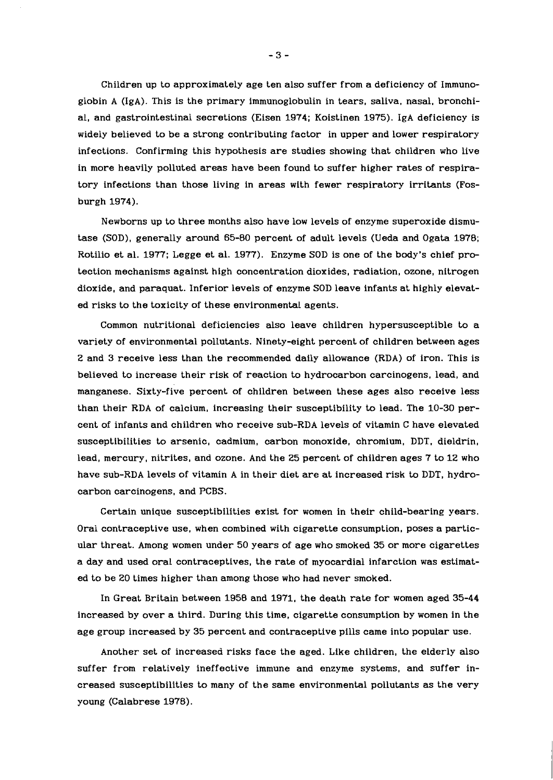Children up to approximately age ten also suffer from a deficiency of Immunoglobin A (IgA). This is the primary immunoglobulin in tears, saliva, nasal, bronchial, and gastrointestinal secretions (Eisen 1974; Koistinen 1975). IgA deficiency is widely believed to be a strong contributing factor in upper and lower respiratory infections. Confirming this hypothesis are studies showing that children who live in more heavily polluted areas have been found to suffer higher rates of respiratory infections than those living in areas with fewer respiratory irritants (Fosburgh 1974).

Newborns up to three months also have low levels of enzyme superoxide dismutase (SOD), generally around 65-80 percent of adult levels (Ueda and Ogata 1978; Rotilio et al. 1977; Legge et al. 1977). Enzyme SOD is one of the body's chief protection mechanisms against high concentration dioxides, radiation, ozone, nitrogen dioxide, and paraquat. Inferior levels of enzyme SOD leave infants at highly elevated risks to the toxicity of these environmental agents.

Common nutritional deficiencies also leave children hypersusceptible to a variety of environmental pollutants. Ninety-eight percent of children between ages 2 and 3 receive less than the recommended daily allowance (RDA) of iron. This is believed to increase their risk of reaction to hydrocarbon carcinogens, lead, and manganese. sixty-five percent of children between these ages also receive less than their RDA of calcium, increasing their susceptibility to lead. The 10-30 percent of infants and children who receive sub-RDA levels of vitamin C have elevated susceptibilities to arsenic, cadmium, carbon monoxide, chromium, DDT, dieldrin, lead, mercury, nitrites, and ozone. And the 25 percent of children ages 7 to 12 who have sub-RDA levels of vitamin A in their diet are at increased risk to DDT, hydrocarbon carcinogens, and PCBs.

Certain unique susceptibilities exist for women in their child-bearing years. Oral contraceptive use, when combined with cigarette consumption, poses a particular threat. Among women under 50 years of age who smoked 35 or more cigarettes a day and used oral contraceptives, the rate of myocardial infarction was estimated to be 20 times higher than among those who had never smoked.

In Great Britain between 1958 and 1971, the death rate for women aged 35-44 increased by over a third. During this time, cigarette consumption by women in the age group increased by 35 percent and contraceptive pills came into popular use.

Another set of increased risks face the aged. Like children, the elderly also suffer from relatively ineffective immune and enzyme systems, and suffer increased susceptibilities to many of the same environmental pollutants as the very young (Calabrese 1978).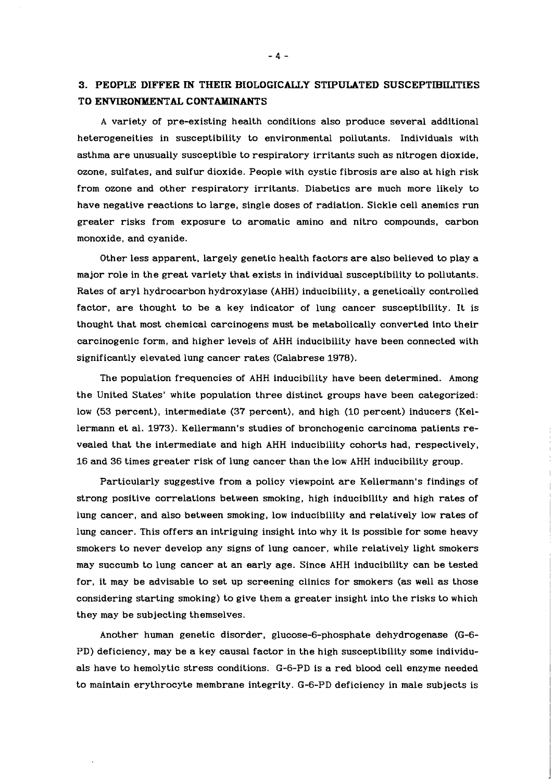# **3. PEOPLE DIFFER IN THEIR BIOLOGICALLY STIPULATED SUSCEPTIBILITIES TO ENVIRONMENTAL CONTAMINANTS**

A variety of pre-existing health conditions also produce several additional heterogeneities in susceptibility to environmental pollutants. Individuals with asthma are unusually susceptible to respiratory irritants such as nitrogen dioxide, ozone, sulfates, and sulfur dioxide. People with cystic fibrosis are also at high risk from ozone and other respiratory irritants. Diabetics are much more likely to have negative reactions to large, single doses of radiation. Sickle cell anemics run greater risks from exposure to aromatic amino and nitro compounds, carbon monoxide, and cyanide.

Other less apparent, largely genetic health factors are also believed to play a major role in the great variety that exists in individual susceptibility to pollutants. Rates of aryl hydrocarbon hydroxylase (AHH) inducibility, a genetically controlled factor, are thought to be a key indicator of lung cancer susceptibility. It is thought that most chemical carcinogens must be metabolically converted into their carcinogenic form, and higher levels of AHH inducibility have been connected with significantly elevated lung cancer rates (Calabrese 1978).

The population frequencies of AHH inducibility have been determined. Among the United States' white population three distinct groups have been categorized: low (53 percent), intermediate (37 percent), and high (10 percent) inducers (Kellermann et al. 1973). Kellermann's studies of bronchogenic carcinoma patients revealed that the intermediate and high AHH inducibility cohorts had, respectively, 16 and 36 times greater risk of lung cancer than the low AHH inducibility group.

Particularly suggestive from a policy viewpoint are Kellermann's findings of strong positive correlations between smoking, high inducibility and high rates of lung cancer, and also between smoking, low inducibility and relatively low rates of lung cancer. This offers an intriguing insight into why it is possible for some heavy smokers to never develop any signs of lung cancer, while relatively light smokers may succumb to lung cancer at an early age. Since AHH inducibility can be tested for, it may be advisable to set up screening clinics for smokers (as well as those considering starting smoking) to give them a greater insight into the risks to which they may be subjecting themselves.

Another human genetic disorder, glucose-6-phosphate dehydrogenase (G-6- PD) deficiency, may be a key causal factor in the high susceptibility some individuals have to hemolytic stress conditions. G-6-PD is a red blood cell enzyme needed to maintain erythrocyte membrane integrity. G-6-PD deficiency in male subjects is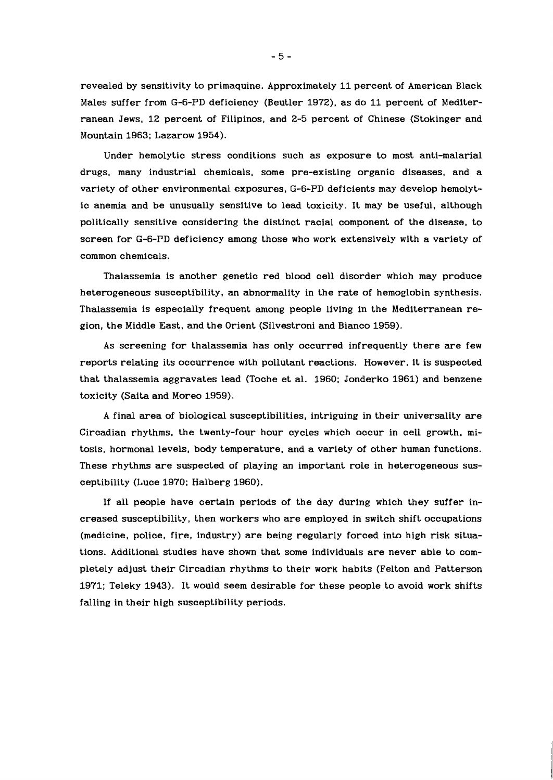revealed by sensitivity to primaquine. Approximately 11 percent of American Black Males suffer from G-6-PD deficiency (Beutler 1972), as do 11 percent of Mediterranean Jews, 12 percent of Filipinos, and 2-5 percent of Chinese (Stokinger and Mountain 1963; Lazarow 1954).

Under hemolytic stress conditions such as exposure to most anti-malarial drugs, many industrial chemicals, some pre-existing organic diseases, and a variety of other environmental exposures, G-6-PD deficients may develop hemolytic anemia and be unusually sensitive to lead toxicity. It may be useful, although politically sensitive considering the distinct racial component of the disease, to screen for G-6-PD deficiency among those who work extensively with a variety of common chemicals.

Thalassemia is another genetic red blood cell disorder which may produce heterogeneous susceptibility, an abnormality in the rate of hemoglobin synthesis. Thalassemia is especially frequent among people living in the Mediterranean region, the Middle East, and the Orient (Silvestroni and Bianco 1959).

As screening for thalassemia has only occurred infrequently there are few reports relating its occurrence with pollutant reactions. However, it is suspected that thalassemia aggravates lead (Toche et al. 1960; Jonderko 1961) and benzene toxicity (Saita and Moreo 1959).

A final area of biological susceptibilities, intriguing in their universality are Circadian rhythms, the twenty-four hour cycles which occur in cell growth, mitosis, hormonal levels, body temperature, and a variety of other human functions. These rhythms are suspected of playing an important role in heterogeneous susceptibility (Luce 1970; Halberg 1960).

If all people have certain periods of the day during which they suffer increased susceptibility, then workers who are employed in switch shift occupations (medicine, police, fire, industry) are being regularly forced into high risk situations. Additional studies have shown that some individuals are never able to completely adjust their Circadian rhythms to their work habits (Felton and Patterson 1971; Teleky 1943). It would seem desirable for these people to avoid work shifts falling in their high susceptibility periods.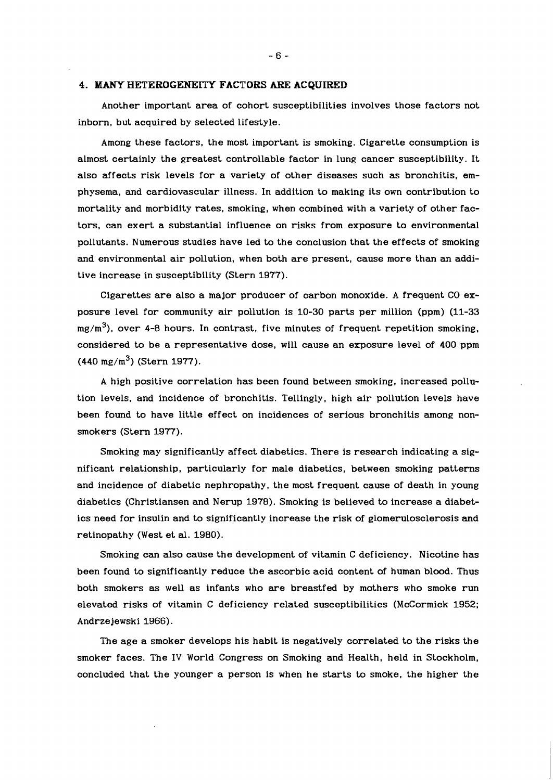### **4. MANY HETEROGENELTY FACTORS ARE ACQUIRED**

Another important area of cohort susceptibilities involves those factors not inborn, but acquired by selected lifestyle.

Among these factors, the most important is smoking. Cigarette consumption is almost certainly the greatest controllable factor in lung cancer susceptibility. It also affects risk levels for a variety of other diseases such as bronchitis, emphysema, and cardiovascular illness. In addition to making its own contribution to mortality and morbidity rates, smoking, when combined with a variety of other factors, can exert a substantial influence on risks from exposure to environmental pollutants. Numerous studies have led to the conclusion that the effects of smoking and environmental air pollution, when both are present, cause more than an additive increase in susceptibility (Stern 1977).

Cigarettes are also a major producer of carbon monoxide. A frequent CO exposure level for community air pollution is 10-30 parts per million (ppm) (11-33  $mg/m<sup>3</sup>$ , over 4-8 hours. In contrast, five minutes of frequent repetition smoking, considered to be a representative dose, will cause an exposure level of 400 ppm  $(440 \text{ mg/m}^3)$  (Stern 1977).

A high positive correlation has been found between smoking, increased pollution levels, and incidence of bronchitis. Tellingly, high air pollution levels have been found to have little effect on incidences of serious bronchitis among nonsmokers (Stern 1977).

Smoking may significantly affect diabetics. There is research indicating a significant relationship, particularly for male diabetics, between smoking patterns and incidence of diabetic nephropathy, the most frequent cause of death in young diabetics (Christiansen and Nerup 1978). Smoking is believed to increase a diabetics need for insulin and to significantly increase the risk of glomerulosclerosis and retinopathy (West et al. 1980).

Smoking can also cause the development of vitamin C deficiency. Nicotine has been found to significantly reduce the ascorbic acid content of human blood. Thus both smokers as well as infants who are breastfed by mothers who smoke run elevated risks of vitamin C deficiency related susceptibilities (McCormick 1952; Andrze jewski 1966).

The age a smoker develops his habit is negatively correlated to the risks the smoker faces. The IV World Congress on Smoking and Health, held in Stockholm, concluded that the younger a person is when he starts to smoke, the higher the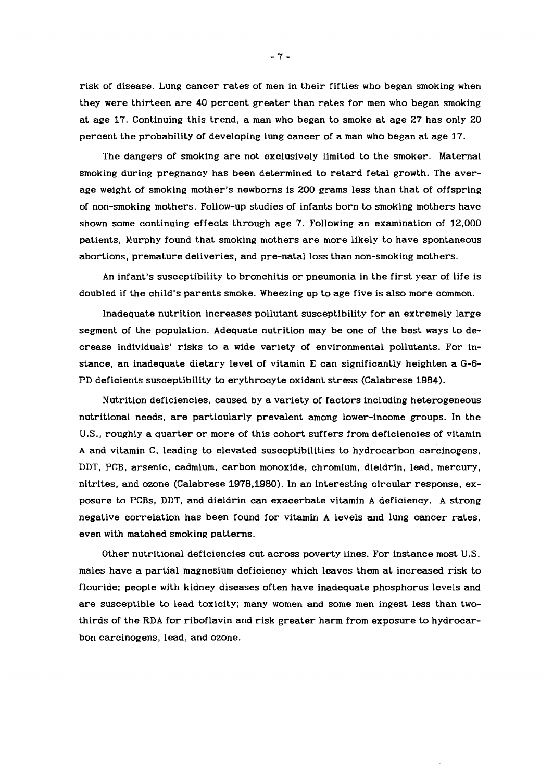risk of disease. Lung cancer rates of men in their fifties who began smoking when they were thirteen are **40** percent greater than rates for men who began smoking at age 17. Continuing this trend, a man who began to smoke at age **27** has only **20**  percent the probability of developing lung cancer of a man who began at age 17.

The dangers of smoking are not exclusively limited to the smoker. Maternal smoking during pregnancy has been determined to retard fetal growth. The average weight of smoking mother's newborns is **200** grams less than that of offspring of non-smoking mothers. Follow-up studies of infants born to smoking mothers have shown some continuing effects through age 7. Following an examination of **12,000**  patients, Murphy found that smoking mothers are more likely to have spontaneous abortions, premature deliveries, and pre-natal loss than non-smoking mothers.

An infant's susceptibility to bronchitis or pneumonia in the first year of life is doubled if the child's parents smoke. Wheezing up to age five is also more common.

Inadequate nutrition increases pollutant susceptibility for an extremely large segment of the population. Adequate nutrition may be one of the best ways to decrease individuals' risks to a wide variety of environmental pollutants. For instance, an inadequate dietary level of vitamin E can significantly heighten a *G-6-*  PD deficients susceptibility to erythrocyte oxidant stress (Calabrese **1984).** 

Nutrition deficiencies, caused by a variety of factors including heterogeneous nutritional needs, are particularly prevalent among lower-income groups. In the **U.S.,** roughly a quarter or more of this cohort suffers from deficiencies of vitamin A and vitamin C, leading to elevated susceptibilities to hydrocarbon carcinogens, DDT, PCB, arsenic, cadmium, carbon monoxide, chromium, dieldrin, lead, mercury, nitrites, and ozone (Calabrese **1978,1980).** In an interesting circular response, exposure to PCBs, DDT, and dieldrin can exacerbate vitamin A deficiency. A strong negative correlation has been found for vitamin A levels and lung cancer rates, even with matched smoking patterns.

Other nutritional deficiencies cut across poverty lines. For instance most **U.S.**  males have a partial magnesium deficiency which leaves them at increased risk to flouride; people with kidney diseases often have inadequate phosphorus levels and are susceptible to lead toxicity; many women and some men ingest less than twothirds of the RDA for riboflavin and risk greater harm from exposure to hydrocarbon carcinogens, lead, and ozone.

 $-7-$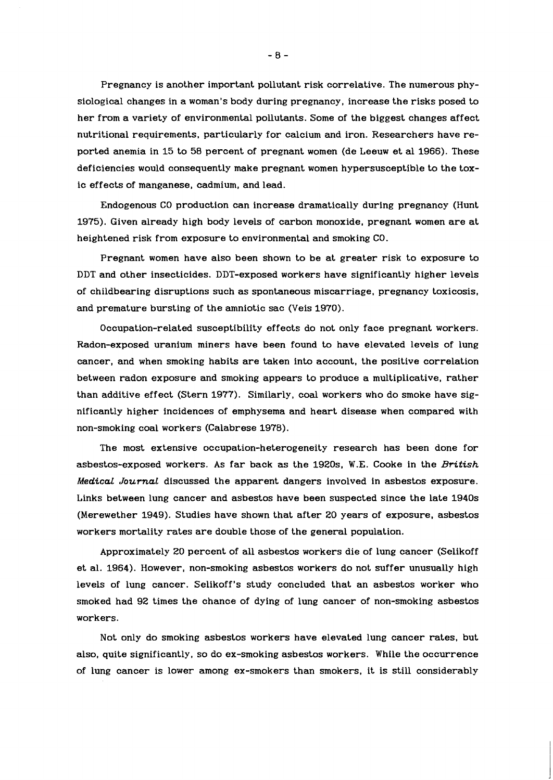Pregnancy is another important pollutant risk correlative. The numerous physiological changes in a woman's body during pregnancy, increase the risks posed to her from a variety of environmental pollutants. Some of the biggest changes affect nutritional requirements, particularly for calcium and iron. Researchers have reported anemia in 15 to 58 percent of pregnant women (de Leeuw et al 1966). These deficiencies would consequently make pregnant women hypersusceptible to the toxic effects of manganese, cadmium, and lead.

Endogenous CO production can increase dramatically during pregnancy (Hunt 1975). Given already high body levels of carbon monoxide, pregnant women are at heightened risk from exposure to environmental and smoking CO.

Pregnant women have also been shown to be at greater risk to exposure to DDT and other insecticides. DDT-exposed workers have significantly higher levels of childbearing disruptions such as spontaneous miscarriage, pregnancy toxicosis, and premature bursting of the amniotic sac (Veis 1970).

Occupation-related susceptibility effects do not only face pregnant workers. Radon-exposed uranium miners have been found to have elevated levels of lung cancer, and when smoking habits are taken into account, the positive correlation between radon exposure and smoking appears to produce a multiplicative, rather than additive effect (Stern 1977). Similarly, coal workers who do smoke have significantly higher incidences of emphysema and heart disease when compared with non-smoking coal workers (Calabrese 1978).

The most extensive occupation-heterogeneity research has been done for asbestos-exposed workers. As far back as the 1920s, W.E. Cooke in the *British Medical Journal* discussed the apparent dangers involved in asbestos exposure. Links between lung cancer and asbestos have been suspected since the late 1940s (Merewether 1949). Studies have shown that after 20 years of exposure, asbestos workers mortality rates are double those of the general population.

Approximately 20 percent of all asbestos workers die of lung cancer (Selikoff et al. 1964). However, non-smoking asbestos workers do not suffer unusually high levels of lung cancer. Selikoff's study concluded that an asbestos worker who smoked had 92 times the chance of dying of lung cancer of non-smoking asbestos workers.

Not only do smoking asbestos workers have elevated lung cancer rates, but also, quite significantly, so do ex-smoking asbestos workers. While the occurrence of lung cancer is lower among ex-smokers than smokers, it is still considerably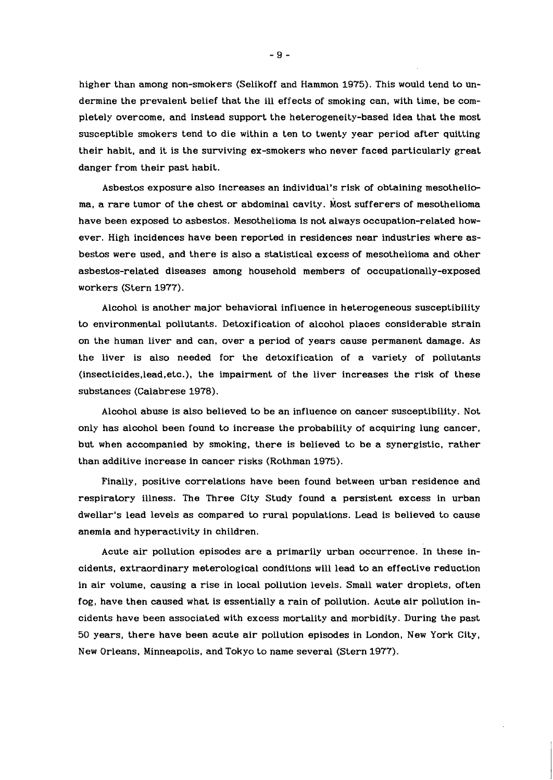higher than among non-smokers (Selikoff and Hammon **1975).** This would tend to undermine the prevalent belief that the ill effects of smoking can, with time, be completely overcome, and instead support the heterogeneity-based idea that the most susceptible smokers tend to die within a ten to twenty year period after quitting their habit, and it is the surviving ex-smokers who never faced particularly great danger from their past habit.

Asbestos exposure also increases an individual's risk of obtaining mesothelioma, a rare tumor of the chest or abdominal cavity. Most sufferers of mesothelioma have been exposed to asbestos. Mesothelioma is not always occupation-related however. High incidences have been reported in residences near industries where asbestos were used, and there is also a statistical excess of mesothelioma and other asbestos-related diseases among household members of occupationally-exposed workers (Stern **1977).** 

Alcohol is another major behavioral influence in heterogeneous susceptibility to environmental pollutants. Detoxification of alcohol places considerable strain on the human liver and can, over a period of years cause permanent damage. As the liver is also needed for the detoxification of a variety of pollutants **(insecticides,lead.etc.),** the impairment of the liver increases the risk of these substances (Calabrese **1978).** 

Alcohol abuse is also believed to be an influence on cancer susceptibility. Not only has alcohol been found to increase the probability of acquiring lung cancer, but when accompanied by smoking, there is believed to be a synergistic, rather than additive increase in cancer risks (Rothman **1975).** 

Finally, positive correlations have been found between urban residence and respiratory illness. The Three City Study found a persistent excess in urban dwellar's lead levels as compared to rural populations. Lead is believed to cause anemia and hyperactivity in children.

Acute air pollution episodes are a primarily urban occurrence. In these incidents, extraordinary meterological conditions will lead to an effective reduction in air volume, causing a rise in local pollution levels. Small water droplets, often fog, have then caused what is essentially a rain of pollution. Acute air pollution incidents have been associated with excess mortality and morbidity. During the past 50 years, there have been acute air pollution episodes in London, New York City, New Orleans, Minneapolis, and Tokyo to name several (Stern **1977).**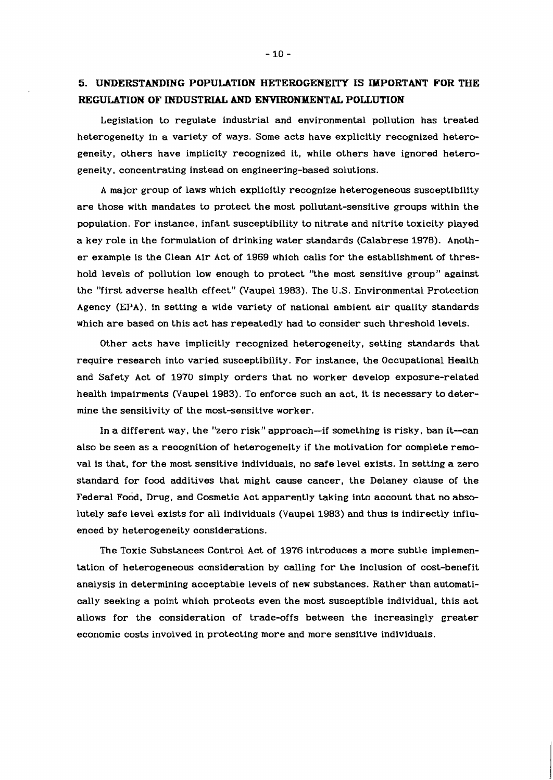# *5.* **UNDERSTANDING POPULATION HETEROGENEITY IS IMPORTANT FOR THE REGULATION OF INDUSTRIAL AND ENYIRONMENTAL POLLUTION**

Legislation to regulate industrial and environmental pollution has treated heterogeneity in a variety of ways. Some acts have explicitly recognized heterogeneity, others have implicity recognized it, while others have ignored heterogeneity, concentrating instead on engineering-based solutions.

A major group of laws which explicitly recognize heterogeneous susceptibility are those with mandates to protect the most pollutant-sensitive groups within the population. For instance, infant susceptibility to nitrate and nitrite toxicity played a key role in the formulation of drinking water standards (Calabrese 1978). Another example is the Clean Air Act of 1969 which calls for the establishment of threshold levels of pollution low enough to protect "the most sensitive group" against the "first adverse health effect" (Vaupel 1983). The U .S. Environmental Protection Agency (EPA), in setting a wide variety of national ambient air quality standards which are based on this act has repeatedly had to consider such threshold levels.

Other acts have implicitly recognized heterogeneity, setting standards that require research into varied susceptibility. For instance, the Occupational Health and Safety Act of 1970 simply orders that no worker develop exposure-related health impairments (Vaupel 1983). To enforce such an act, it is necessary to determine the sensitivity of the most-sensitive worker.

In a different way, the "zero risk" approach-if something is risky, ban it-can also be seen as a recognition of heterogeneity if the motivation for complete removal is that, for the most sensitive individuals, no safe level exists. In setting a zero standard for food additives that might cause cancer, the Delaney clause of the Federal Food, Drug, and Cosmetic Act apparently taking into account that no absolutely safe level exists for all individuals (Vaupel 1983) and thus is indirectly influenced by heterogeneity considerations.

The Toxic Substances Control Act of 1976 introduces a more subtle implementation of heterogeneous consideration by calling for the inclusion of cost-benefit analysis in determining acceptable levels of new substances. Rather than automatically seeking a point which protects even the most susceptible individual, this act allows for the consideration of trade-offs between the increasingly greater economic costs involved in protecting more and more sensitive individuals.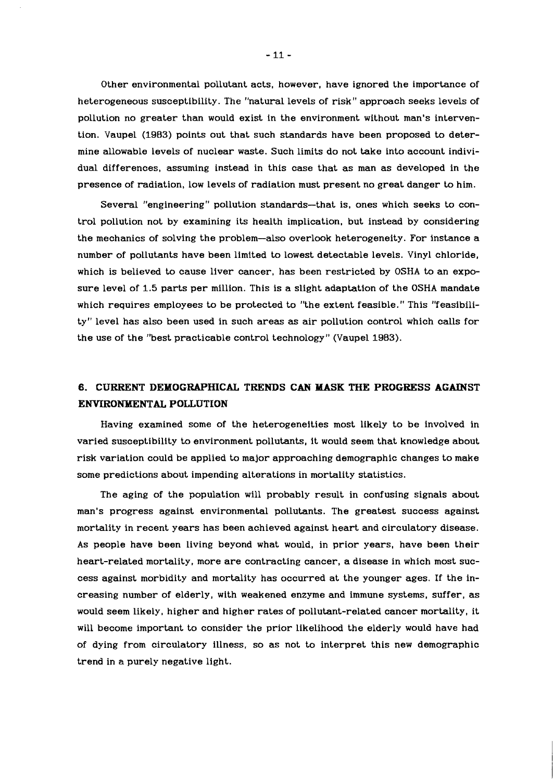Other environmental pollutant acts, however, have ignored the importance of heterogeneous susceptibility. The "natural levels of risk" approach seeks levels of pollution no greater than would exist in the environment without man's intervention. Vaupel (1983) points out that such standards have been proposed to determine allowable levels of nuclear waste. Such limits do not take into account individual differences, assuming instead in this case that as man as developed in the presence of radiation, low levels of radiation must present no great danger to him.

Several "engineering" pollution standards-that is, ones which seeks to control pollution not by examining its health implication, but instead by considering the mechanics of solving the problem-also overlook heterogeneity. For instance a number of pollutants have been limited to lowest detectable levels. Vinyl chloride, which is believed to cause liver cancer, has been restricted by OSHA to an exposure level of 1.5 parts per million. This is a slight adaptation of the OSHA mandate which requires employees to be protected to "the extent feasible." This "feasibility" level has also been used in such areas as air pollution control which calls for the use of the "best practicable control technology" (Vaupel 1983).

# **6. CURRENT DEMOGRAPHICAL TRENDS CAN MASK THE PROGRESS AGAINST ENVIRONMENTAL POLLUTION**

Having examined some of the heterogeneities most likely to be involved in varied susceptibility to environment pollutants, it would seem that knowledge about risk variation could be applied to major approaching demographic changes to make some predictions about impending alterations in mortality statistics.

The aging of the population will probably result in confusing signals about man's progress against environmental pollutants. The greatest success against mortality in recent years has been achieved against heart and circulatory disease. As people have been living beyond what would, in prior years, have been their heart-related mortality, more are contracting cancer, a disease in which most success against morbidity and mortality has occurred at the younger ages. If the increasing number of elderly, with weakened enzyme and immune systems, suffer, as would seem likely, higher and higher rates of pollutant-related cancer mortality, it will become important to consider the prior likelihood the elderly would have had of dying from circulatory illness, so as not to interpret this new demographic trend in a purely negative light.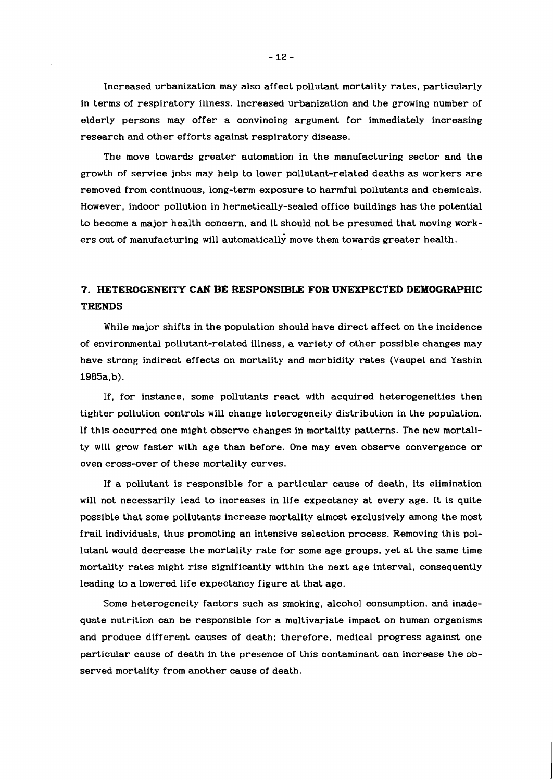Increased urbanization may also affect pollutant mortality rates, particularly in terms of respiratory illness. Increased urbanization and the growing number of elderly persons may offer a convincing argument for immediately increasing research and other efforts against respiratory disease.

The move towards greater automation in the manufacturing sector and the growth of service jobs may help to lower pollutant-related deaths as workers are removed from continuous, long-term exposure to harmful pollutants and chemicals. However, indoor pollution in hermetically-sealed office buildings has the potential to become a major health concern, and it should not be presumed that moving workers out of manufacturing will automatically move them towards greater health.

# **7. HETEROGENEXTY CAN BE RESPONSIBLlE FOE UNEXPECTED DEMOGRAPHIC TRENDS**

While major shifts in the population should have direct affect on the incidence of environmental pollutant-related illness, a variety of other possible changes may have strong indirect effects on mortality and morbidity rates (Vaupel and Yashin  $1985a, b$ ).

If, for instance, some pollutants react with acquired heterogeneities then tighter pollution controls will change heterogeneity distribution in the population. If this occurred one might observe changes in mortality patterns. The new mortality will grow faster with age than before. One may even observe convergence or even cross-over of these mortality curves.

If a pollutant is responsible for a particular cause of death, its elimination will not necessarily lead to increases in life expectancy at every age. It is quite possible that some pollutants increase mortality almost exclusively among the most frail individuals, thus promoting an intensive selection process. Removing this pollutant would decrease the mortality rate for some age groups, yet at the same time mortality rates might rise significantly within the next age interval, consequently leading to a lowered life expectancy figure at that age.

Some heterogeneity factors such as smoking, alcohol consumption, and inadequate nutrition can be responsible for a multivariate impact on human organisms and produce different causes of death; therefore, medical progress against one particular cause of death in the presence of this contaminant can increase the observed mortality from another cause of death.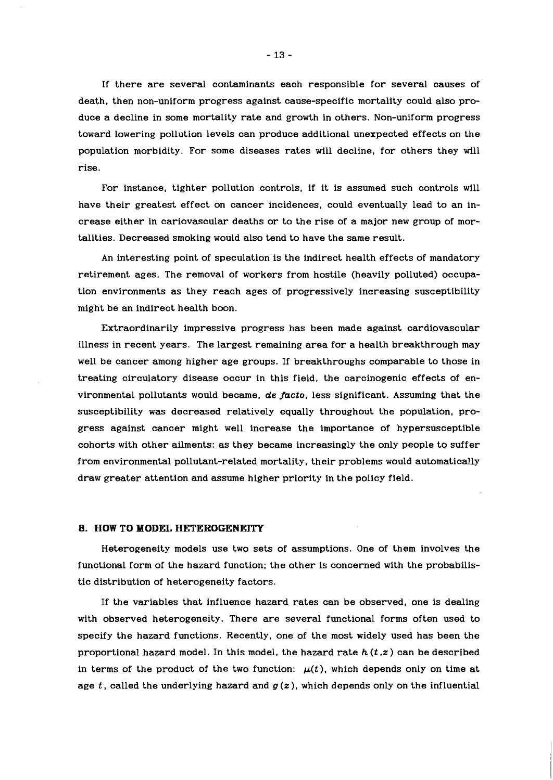If there are several contaminants each responsible for several causes of death, then non-uniform progress against cause-specific mortality could also produce a decline in some mortality rate and growth in others. Non-uniform progress toward lowering pollution levels can produce additional unexpected effects on the population morbidity. For some diseases rates will decline, for others they will rise.

For instance, tighter pollution controls, if it is assumed such controls will have their greatest effect on cancer incidences, could eventually lead to an increase either in cariovascular deaths or to the rise of a major new group of mortalities. Decreased smoking would also tend to have the same result.

An interesting point of speculation is the indirect health effects of mandatory retirement ages. The removal of workers from hostile (heavily polluted) occupation environments as they reach ages of progressively increasing susceptibility might be an indirect health boon.

Extraordinarily impressive progress has been made against cardiovascular illness in recent years. The largest remaining area for a health breakthrough may well be cancer among higher age groups. If breakthroughs comparable to those in treating circulatory disease occur in this field, the carcinogenic effects of environmental pollutants would became, de facto, less significant. Assuming that the susceptibility was decreased relatively equally throughout the population, progress against cancer might well increase the importance of hypersusceptible cohorts with other ailments: as they became increasingly the only people to suffer from environmental pollutant-related mortality, their problems would automatically draw greater attention and assume higher priority in the policy field.

#### **8. HOW TO MODEL HETEROGENEITY**

Heterogeneity models use two sets of assumptions. One of them involves the functional form of the hazard function; the other is concerned with the probabilistic distribution of heterogeneity factors.

If the variables that influence hazard rates can be observed, one is dealing with observed heterogeneity. There are several functional forms often used to specify the hazard functions. Recently, one of the most widely used has been the proportional hazard model. In this model, the hazard rate **h** (t **,z)** can be described in terms of the product of the two function:  $\mu(t)$ , which depends only on time at age  $t$ , called the underlying hazard and  $g(z)$ , which depends only on the influential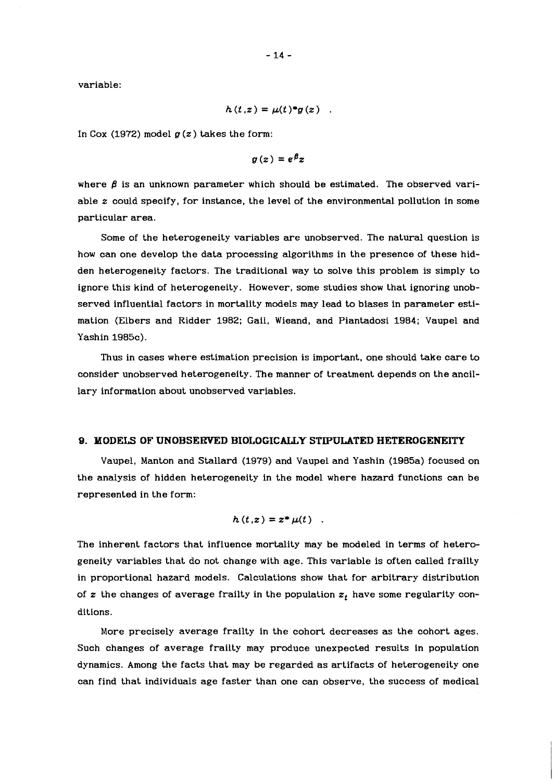variable:

$$
h(t,z)=\mu(t)^*g(z)
$$

In Cox (1972) model **g** (z) takes the form:

 $q(z) = e^{\beta} z$ 

where  $\beta$  is an unknown parameter which should be estimated. The observed variable **z** could specify, for instance, the level of the environmental pollution in some particular area.

Some of the heterogeneity variables are unobserved. The natural question is how can one develop the data processing algorithms in the presence of these hidden heterogeneity factors. The traditional way to solve this problem is simply to ignore this kind of heterogeneity. However, some studies show that ignoring unobserved influential factors in mortality models may lead to biases in parameter estimation (Elbers and Ridder 1982; Gail, Wieand, and Piantadosi 1984; Vaupel and Yashin 1985c).

Thus in cases where estimation precision is important, one should take care to consider unobserved heterogeneity. The manner of treatment depends on the ancillary information about unobserved variables.

## **9. MODELS OF UNOBSERVED BIOLOGICALLY STIPULATED HETEROGENEITY**

Vaupel, Manton and Stallard (1979) and Vaupel and Yashin (19B5a) focused on the analysis of hidden heterogeneity in the model where hazard functions can be represented in the form:

$$
h(t,z)=z^*\mu(t).
$$

The inherent factors that influence mortality may be modeled in terms of heterogeneity variables that do not change with age. This variable is often called frailty in proportional hazard models. Calculations show that for arbitrary distribution of z the changes of average frailty in the population  $z_t$  have some regularity conditions.

More precisely average frailty in the cohort decreases as the cohort ages. Such changes of average frailty may produce unexpected results in population dynamics. Among the facts that may be regarded as artifacts of heterogeneity one can find that individuals age faster than one can observe, the success of medical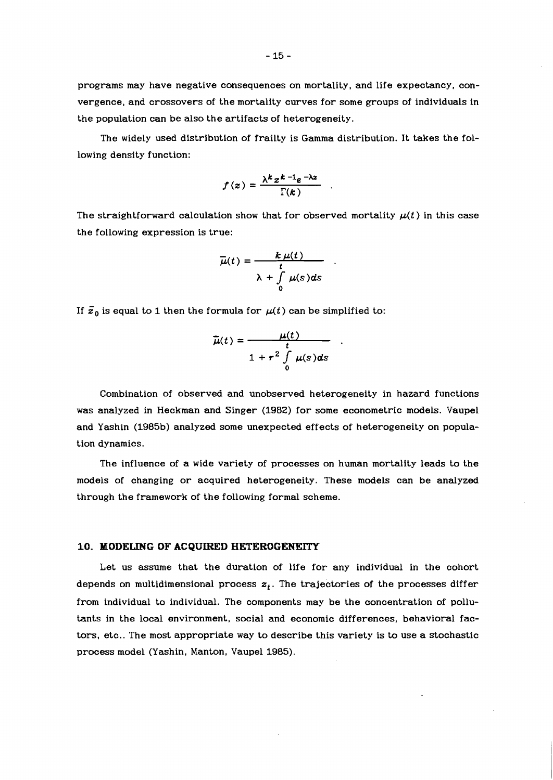programs may have negative consequences on mortality, and life expectancy, convergence, and crossovers of the mortality curves for some groups of individuals in the population can be also the artifacts of heterogeneity.

The widely used distribution of frailty is Gamma distribution. It takes the following density function:

$$
f(z) = \frac{\lambda^k z^{k-1} e^{-\lambda z}}{\Gamma(k)}
$$

The straightforward calculation show that for observed mortality  $\mu(t)$  in this case the following expression is true:

$$
\overline{\mu}(t) = \frac{k \mu(t)}{t}
$$

$$
\lambda + \int_{0}^{t} \mu(s) ds
$$

If  $\bar{z}_0$  is equal to 1 then the formula for  $\mu(t)$  can be simplified to:

$$
\overline{\mu}(t) = \frac{\mu(t)}{t}
$$
  
1 +  $r^2 \int_0^t \mu(s) ds$ 

Combination of observed and unobserved heterogeneity in hazard functions was analyzed in Heckman and Singer (1982) for some econometric models. Vaupel and Yashin (1985b) analyzed some unexpected effects of heterogeneity on population dynamics.

The influence of a wide variety of processes on human mortality leads to the models of changing or acquired heterogeneity. These models can be analyzed through the framework of the following formal scheme.

#### **10. MODELING OF ACQUIRED HETEROGENEITY**

Let us assume that the duration of life for any individual in the cohort depends on multidimensional process  $z_t$ . The trajectories of the processes differ from individual to individual. The components may be the concentration of pollutants in the local environment, social and economic differences, behavioral factors, etc.. The most appropriate way to describe this variety is to use a stochastic process model (Yashin, Manton, Vaupel 1985).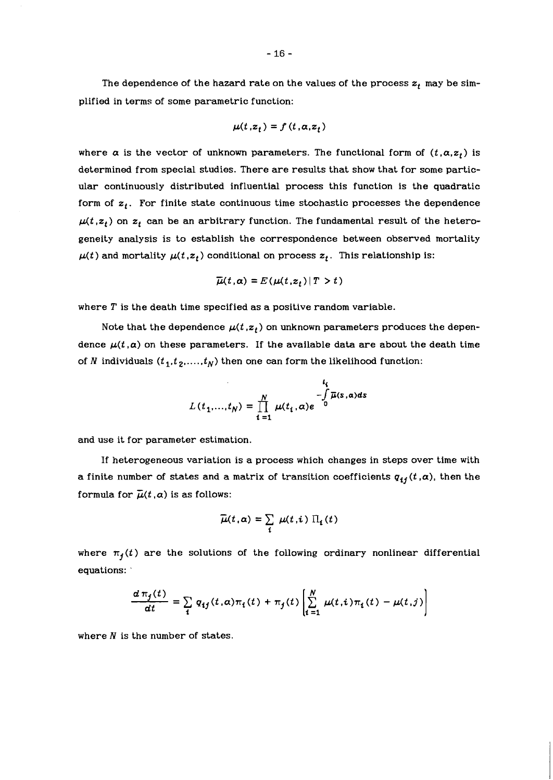$$
\mu(t,z_t) = f(t,\alpha,z_t)
$$

where  $\alpha$  is the vector of unknown parameters. The functional form of  $(t, \alpha, z_t)$  is determined from special studies. There are results that show that for some particular continuously distributed influential process this function is the quadratic form of  $z_t$ . For finite state continuous time stochastic processes the dependence  $\mu(t, z_t)$  on  $z_t$  can be an arbitrary function. The fundamental result of the heterogeneity analysis is to establish the correspondence between observed mortality  $\mu(t)$  and mortality  $\mu(t, z_t)$  conditional on process  $z_t$ . This relationship is:

$$
\overline{\mu}(t,\alpha) = E(\mu(t,z_t) | T > t)
$$

where  $T$  is the death time specified as a positive random variable.

Note that the dependence  $\mu(t, z_t)$  on unknown parameters produces the dependence  $\mu(t, \alpha)$  on these parameters. If the available data are about the death time of N individuals  $(t_1, t_2, ..., t_N)$  then one can form the likelihood function:

$$
L(t_1,...,t_N) = \prod_{i=1}^N \mu(t_i,\alpha) e^{-\int\limits_0^{t_i} \overline{\mu}(s,\alpha)ds}
$$

and use it for parameter estimation.

If heterogeneous variation is a process which changes in steps over time with a finite number of states and a matrix of transition coefficients  $q_{ij}(t, \alpha)$ , then the formula for  $\bar{\mu}(t, \alpha)$  is as follows:

$$
\overline{\mu}(t,\alpha)=\sum_i \mu(t,i) \Pi_i(t)
$$

where  $\pi_j(t)$  are the solutions of the following ordinary nonlinear differential equations: '

$$
\frac{d\,\pi_j(t)}{dt} = \sum_i\,q_{ij}(t,\alpha)\pi_i(t) + \pi_j(t)\left[\sum_{i=1}^N\,\mu(t,i)\pi_i(t) - \mu(t,j)\right]
$$

where  $N$  is the number of states.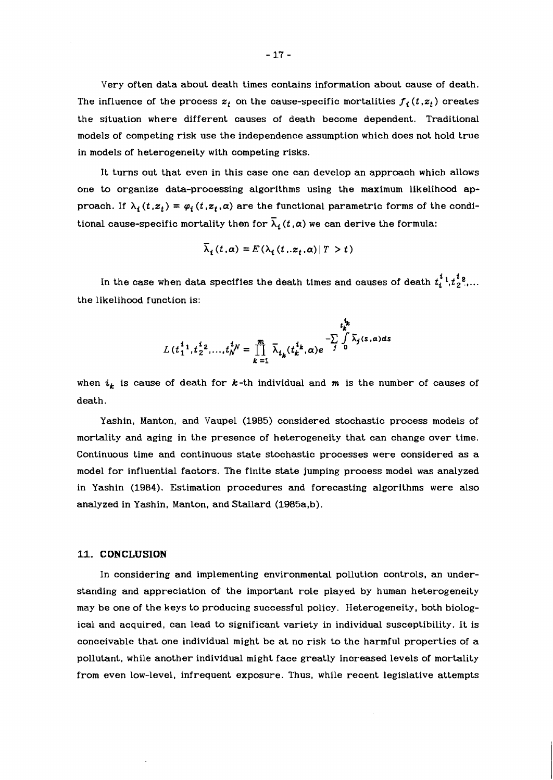Very often data about death times contains information about cause of death. The influence of the process  $z_t$  on the cause-specific mortalities  $f_i(t, z_t)$  creates the situation where different causes of death become dependent. Traditional models of competing risk use the independence assumption which does not hold true in models of heterogeneity with competing risks.

It turns out that even in this case one can develop an approach which allows one to organize data-processing algorithms using the maximum likelihood approach. If  $\lambda_i(t, z_t) = \varphi_i(t, z_t, \alpha)$  are the functional parametric forms of the conditional cause-specific mortality then for  $\overline{\lambda}_i$  (*t*,  $\alpha$ ) we can derive the formula:

$$
\overline{\lambda}_i(t,\alpha) = E(\lambda_i(t_i, z_t, \alpha) | T > t)
$$

In the case when data specifies the death times and causes of death  $t_{\bm{i}}^{\bm{1}}$  ,  $t_{\bm{2}}^{\bm{2}}$  ,... the likelihood function is:

$$
L(t_1^{i_1}, t_2^{i_2}, \dots, t_N^{i_N} = \prod_{k=1}^m \overline{\lambda}_{t_k}(t_k^{i_k}, \alpha) e^{-\sum\limits_j \int\limits_0^{t_k} \overline{\lambda}_j(s, \alpha) ds}
$$

when  $i_k$  is cause of death for  $k$ -th individual and  $m$  is the number of causes of death.

Yashin, Manton, and Vaupel **(1985)** considered stochastic process models of mortality and aging in the presence of heterogeneity that can change over time. Continuous time and continuous state stochastic processes were considered as a model for influential factors. The finite state jumping process model was analyzed in Yashin **(1984).** Estimation procedures and forecasting algorithms were also analyzed in Yashin, Manton, and Stallard (1985a,b).

#### **11. CONCLUSION**

In considering and implementing environmental pollution controls, an understanding and appreciation of the important role played by human heterogeneity may be one of the keys to producing successful policy. Heterogeneity, both biological and acquired, can lead to significant variety in individual susceptibility. It is conceivable that one individual might be at no risk to the harmful properties of a pollutant, while another individual might face greatly increased levels of mortality from even low-level, infrequent exposure. Thus, while recent legislative attempts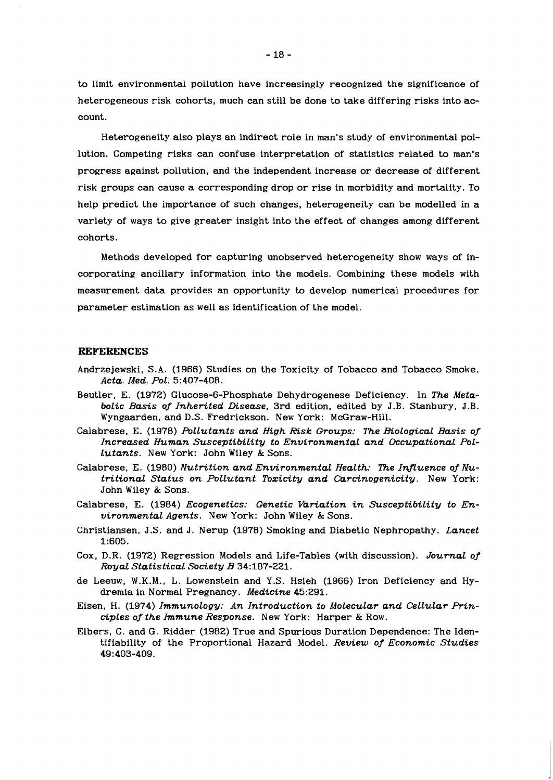to limit environmental pollution have increasingly recognized the significance of heterogeneous risk cohorts, much can still be done to take differing risks into account.

Heterogeneity also plays an indirect role in man's study of environmental pollution. Competing risks can confuse interpretation of statistics related to man's progress against pollution, and the independent increase or decrease of different risk groups can cause a corresponding drop or rise in morbidity and mortality. To help predict the importance of such changes, heterogeneity can be modelled in a variety of ways to give greater insight into the effect of changes among different cohorts.

Methods developed for capturing unobserved heterogeneity show ways of incorporating ancillary information into the models. Combining these models with measurement data provides an opportunity to develop numerical procedures for parameter estimation as well as identification of the model.

### **REFERENCES**

- Andrzejewski, S.A. (1966) Studies on the Toxicity of Tobacco and Tobacco Smoke. *Acta. Med. POL.* 5:407-408.
- Beutler, E. (1972) Glucose-6-Phosphate Dehydrogenese Deficiency. In *The MetaboLic Basis of Inherited Disease,* 3rd edition, edited by J.B. Stanbury, J.B. Wyngaarden, and D.S. Fredrickson. New York: McGraw-Hill.
- Calabrese, E. (1978) *FbLLutants and High Risk Groups: The BioLogicaL Basis of Increased Human Susceptibility to EnvironmentaL and OccupationaL PoL-Lutants.* New York: John Wiley & Sons.
- Calabrese, E. (1980) *Nutrition and Environmental HeaLth: The InJLuence of Nutritional Status on Pollutant Toxicity and Carcinogenicity.* New York: John Wiley & Sons.
- Calabrese, E. (1984) *Ecogenetics: Genetic Variation in Susceptibility to EnvironmentaL Agents.* New York: John Wiley & Sons.
- Christiansen, J.S. and J. Nerup (1978) Smoking and Diabetic Nephropathy. *Lancet*  1:605.
- Cox, D.R. (1972) Regression Models and Life-Tables (with discussion). *JournaL of Royal StatisticaL Society B* 34:187-221.
- de Leeuw, W.K.M., L. Lowenstein and Y.S. Hsieh (1966) Iron Deficiency and Hydremia in Normal Pregnancy. *Medicine* 45:291.
- Eisen, H. (1974) *Immunology: An Introduction to MoLecuLar and CeLLuLar PrincipLes of the Immune Response.* New York: Harper & Row.
- Elbers, C. and G. Ridder (1982) True and Spurious Duration Dependence: The Identifiability of the Proportional Hazard Model. *Review of Economic Studies*  49:403-409.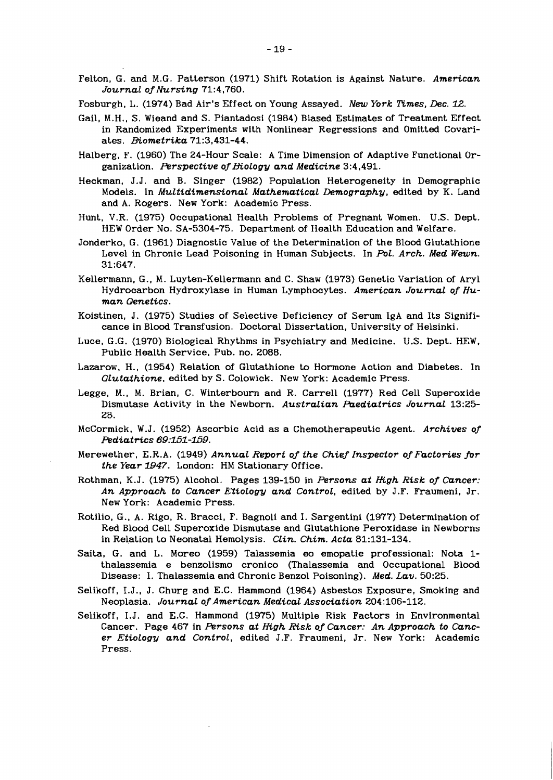- Felton, G. and M.G. Patterson (1971) Shift Rotation is Against Nature. *American Journal ofNursing* 71:4,760.
- Fosburgh, L. (1974) Bad Air's Effect on Young Assayed. *New York IPimes, Dec.* l2.
- Gail, M.H., S. Wieand and S. Piantadosi (1984) Biased Estimates of Treatment Effect in Randomized Experiments with Nonlinear Regressions and Omitted Covariates. *Biometrika* 71:3,431-44.
- Halberg, F. (1960) The 24-Hour Scale: A Time Dimension of Adaptive Functional Organization. *Perspective of Biology and Medicine* 3:4,491.
- Heckman, J.J. and B. Singer (1982) Population Heterogeneity in Demographic Models. In *MuLtidimensionaL MathematicaL Demography,* edited by K. Land and A. Rogers. New York: Academic Press.
- Hunt, V.R. (1975) Occupational Health Problems of Pregnant Women. U.S. Dept. HEW Order No. SA-5304-75. Department of Health Education and Welfare.
- Jonderko, G. (1961) Diagnostic Value of the Determination of the Blood Glutathione Level in Chronic Lead Poisoning in Human Subjects. In *POL. Arch. Med Wewn.*  31:647.
- Kellermann, G., M. Luyten-Kellermann and C. Shaw (1973) Genetic Variation of Aryl Hydrocarbon Hydroxylase in Human Lymphocytes. *American Journal of Human Genetics.*
- Koistinen, J. (1975) Studies of Selective Deficiency of Serum IgA and Its Significance in Blood Transfusion. Doctoral Dissertation, University of Helsinki.
- Luce, G.G. (1970) Biological Rhythms in Psychiatry and Medicine. U.S. Dept. HEW, Public Health Service, Pub. no. 2088.
- Lazarow, H., (1954) Relation of Glutathione to Hormone Action and Diabetes. In *GLutathione,* edited by S. Colowick. New York: Academic Press.
- Legge, M., M. Brian, C. Winterbourn and R. Carrel1 (1977) Red Cell Superoxide Dismutase Activity in the Newborn. *Australian Paediatrics Journal* 1325- 28.
- McCormick, W.J. (1952) Ascorbic Acid as a Chemotherapeutic Agent. *Archives of Pediatrics* 69:151-l59.
- Merewether, E.R.A. (1949) *Annual Report of the Chief Inspector of Factories fir*  **the Year 1947.** London: HM Stationary Office.
- Rothman, K.J. (1975) Alcohol. Pages 139-150 in *Persons at High Risk of Cancer: An Approach to Cancer EtioLogy and Control,* edited by J.F. Fraumeni, Jr. New York: Academic Press.
- Rotilio, G., A. Rigo, R. Bracci, F. Bagnoli and I. Sargentini (1977) Determination of Red Blood Cell Superoxide Dismutase and Glutathione Peroxidase in Newborns in Relation to Neonatal Hemolysis. *CLin. Chim. Acta* 81:131-134.
- Saita, G. and L. Moreo (1959) Talassemia eo emopatie professional: Nota 1 thalassemia e benzolismo cronico (Thalassemia and Occupational Blood Disease: I. Thalassemia and Chronic Benzol Poisoning). *Med. Lav.* 50:25.
- Selikoff, I.J., J. Churg and E.C. Hammond (1964) Asbestos Exposure, Smoking and Neoplasia. *JournaL ofAmerican Medical Association* 204:106-112.
- Selikoff, I.J. and E.C. Hammond (1975) Multiple Risk Factors in Environmental Cancer. Page 467 in *Persons at High Risk of Cancer: An Approach to Cancer Etiology and Control,* edited J.F. Fraumeni, Jr. New York: Academic Press.